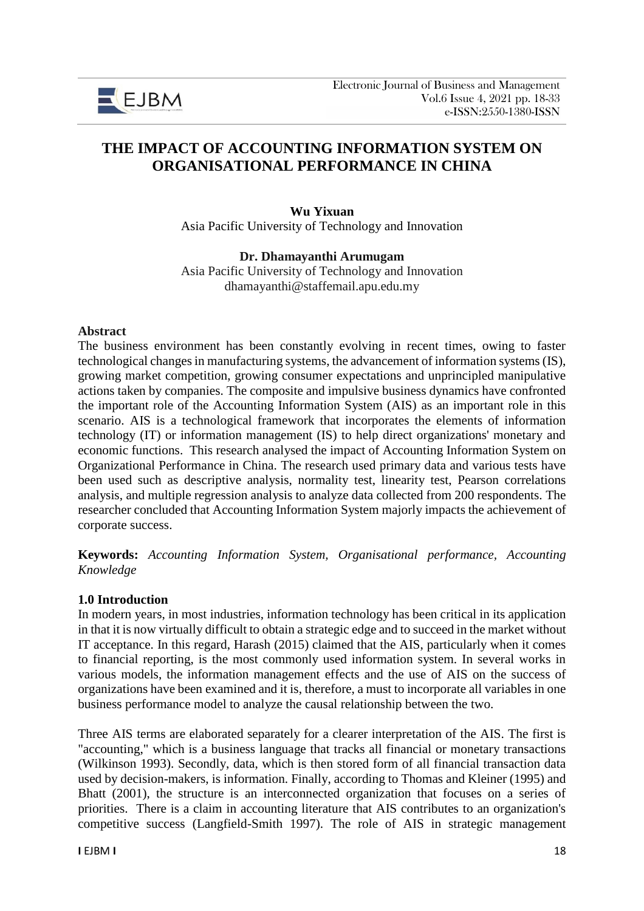

# **THE IMPACT OF ACCOUNTING INFORMATION SYSTEM ON ORGANISATIONAL PERFORMANCE IN CHINA**

**Wu Yixuan** Asia Pacific University of Technology and Innovation

### **Dr. Dhamayanthi Arumugam**

Asia Pacific University of Technology and Innovation dhamayanthi@staffemail.apu.edu.my

#### **Abstract**

The business environment has been constantly evolving in recent times, owing to faster technological changes in manufacturing systems, the advancement of information systems (IS), growing market competition, growing consumer expectations and unprincipled manipulative actions taken by companies. The composite and impulsive business dynamics have confronted the important role of the Accounting Information System (AIS) as an important role in this scenario. AIS is a technological framework that incorporates the elements of information technology (IT) or information management (IS) to help direct organizations' monetary and economic functions. This research analysed the impact of Accounting Information System on Organizational Performance in China. The research used primary data and various tests have been used such as descriptive analysis, normality test, linearity test, Pearson correlations analysis, and multiple regression analysis to analyze data collected from 200 respondents. The researcher concluded that Accounting Information System majorly impacts the achievement of corporate success.

**Keywords:** *Accounting Information System, Organisational performance, Accounting Knowledge*

#### **1.0 Introduction**

In modern years, in most industries, information technology has been critical in its application in that it is now virtually difficult to obtain a strategic edge and to succeed in the market without IT acceptance. In this regard, Harash (2015) claimed that the AIS, particularly when it comes to financial reporting, is the most commonly used information system. In several works in various models, the information management effects and the use of AIS on the success of organizations have been examined and it is, therefore, a must to incorporate all variables in one business performance model to analyze the causal relationship between the two.

Three AIS terms are elaborated separately for a clearer interpretation of the AIS. The first is "accounting," which is a business language that tracks all financial or monetary transactions (Wilkinson 1993). Secondly, data, which is then stored form of all financial transaction data used by decision-makers, is information. Finally, according to Thomas and Kleiner (1995) and Bhatt (2001), the structure is an interconnected organization that focuses on a series of priorities. There is a claim in accounting literature that AIS contributes to an organization's competitive success (Langfield-Smith 1997). The role of AIS in strategic management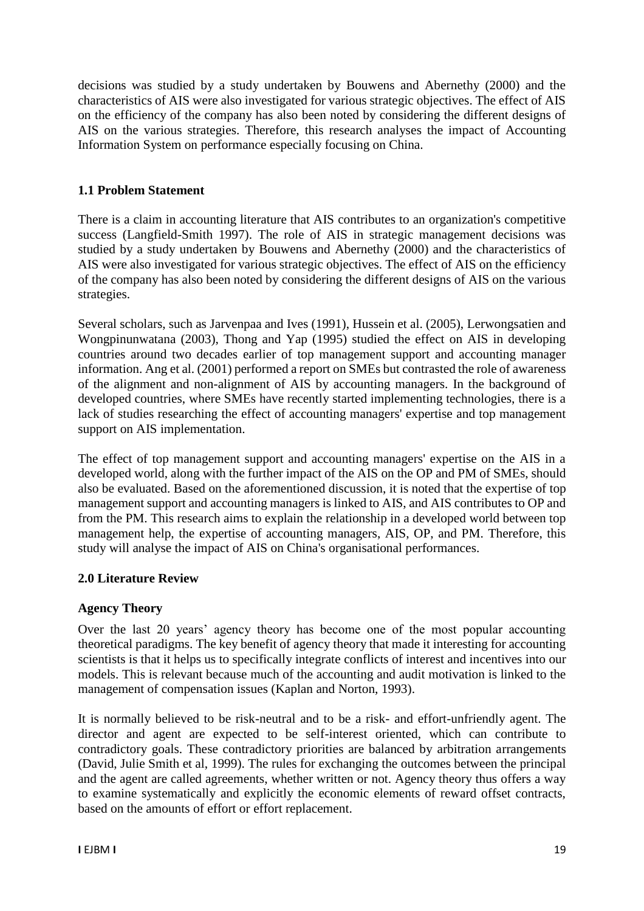decisions was studied by a study undertaken by Bouwens and Abernethy (2000) and the characteristics of AIS were also investigated for various strategic objectives. The effect of AIS on the efficiency of the company has also been noted by considering the different designs of AIS on the various strategies. Therefore, this research analyses the impact of Accounting Information System on performance especially focusing on China.

# **1.1 Problem Statement**

There is a claim in accounting literature that AIS contributes to an organization's competitive success (Langfield-Smith 1997). The role of AIS in strategic management decisions was studied by a study undertaken by Bouwens and Abernethy (2000) and the characteristics of AIS were also investigated for various strategic objectives. The effect of AIS on the efficiency of the company has also been noted by considering the different designs of AIS on the various strategies.

Several scholars, such as Jarvenpaa and Ives (1991), Hussein et al. (2005), Lerwongsatien and Wongpinunwatana (2003), Thong and Yap (1995) studied the effect on AIS in developing countries around two decades earlier of top management support and accounting manager information. Ang et al. (2001) performed a report on SMEs but contrasted the role of awareness of the alignment and non-alignment of AIS by accounting managers. In the background of developed countries, where SMEs have recently started implementing technologies, there is a lack of studies researching the effect of accounting managers' expertise and top management support on AIS implementation.

The effect of top management support and accounting managers' expertise on the AIS in a developed world, along with the further impact of the AIS on the OP and PM of SMEs, should also be evaluated. Based on the aforementioned discussion, it is noted that the expertise of top management support and accounting managers is linked to AIS, and AIS contributes to OP and from the PM. This research aims to explain the relationship in a developed world between top management help, the expertise of accounting managers, AIS, OP, and PM. Therefore, this study will analyse the impact of AIS on China's organisational performances.

# **2.0 Literature Review**

# **Agency Theory**

Over the last 20 years' agency theory has become one of the most popular accounting theoretical paradigms. The key benefit of agency theory that made it interesting for accounting scientists is that it helps us to specifically integrate conflicts of interest and incentives into our models. This is relevant because much of the accounting and audit motivation is linked to the management of compensation issues (Kaplan and Norton, 1993).

It is normally believed to be risk-neutral and to be a risk- and effort-unfriendly agent. The director and agent are expected to be self-interest oriented, which can contribute to contradictory goals. These contradictory priorities are balanced by arbitration arrangements (David, Julie Smith et al, 1999). The rules for exchanging the outcomes between the principal and the agent are called agreements, whether written or not. Agency theory thus offers a way to examine systematically and explicitly the economic elements of reward offset contracts, based on the amounts of effort or effort replacement.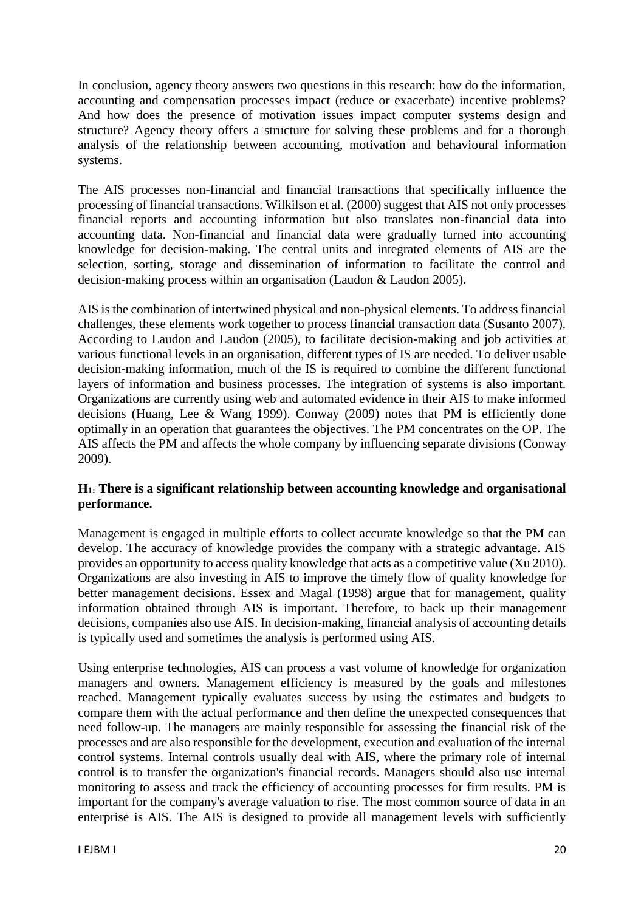In conclusion, agency theory answers two questions in this research: how do the information, accounting and compensation processes impact (reduce or exacerbate) incentive problems? And how does the presence of motivation issues impact computer systems design and structure? Agency theory offers a structure for solving these problems and for a thorough analysis of the relationship between accounting, motivation and behavioural information systems.

The AIS processes non-financial and financial transactions that specifically influence the processing of financial transactions. Wilkilson et al. (2000) suggest that AIS not only processes financial reports and accounting information but also translates non-financial data into accounting data. Non-financial and financial data were gradually turned into accounting knowledge for decision-making. The central units and integrated elements of AIS are the selection, sorting, storage and dissemination of information to facilitate the control and decision-making process within an organisation (Laudon & Laudon 2005).

AIS is the combination of intertwined physical and non-physical elements. To address financial challenges, these elements work together to process financial transaction data (Susanto 2007). According to Laudon and Laudon (2005), to facilitate decision-making and job activities at various functional levels in an organisation, different types of IS are needed. To deliver usable decision-making information, much of the IS is required to combine the different functional layers of information and business processes. The integration of systems is also important. Organizations are currently using web and automated evidence in their AIS to make informed decisions (Huang, Lee & Wang 1999). Conway (2009) notes that PM is efficiently done optimally in an operation that guarantees the objectives. The PM concentrates on the OP. The AIS affects the PM and affects the whole company by influencing separate divisions (Conway 2009).

# **H1: There is a significant relationship between accounting knowledge and organisational performance.**

Management is engaged in multiple efforts to collect accurate knowledge so that the PM can develop. The accuracy of knowledge provides the company with a strategic advantage. AIS provides an opportunity to access quality knowledge that acts as a competitive value (Xu 2010). Organizations are also investing in AIS to improve the timely flow of quality knowledge for better management decisions. Essex and Magal (1998) argue that for management, quality information obtained through AIS is important. Therefore, to back up their management decisions, companies also use AIS. In decision-making, financial analysis of accounting details is typically used and sometimes the analysis is performed using AIS.

Using enterprise technologies, AIS can process a vast volume of knowledge for organization managers and owners. Management efficiency is measured by the goals and milestones reached. Management typically evaluates success by using the estimates and budgets to compare them with the actual performance and then define the unexpected consequences that need follow-up. The managers are mainly responsible for assessing the financial risk of the processes and are also responsible for the development, execution and evaluation of the internal control systems. Internal controls usually deal with AIS, where the primary role of internal control is to transfer the organization's financial records. Managers should also use internal monitoring to assess and track the efficiency of accounting processes for firm results. PM is important for the company's average valuation to rise. The most common source of data in an enterprise is AIS. The AIS is designed to provide all management levels with sufficiently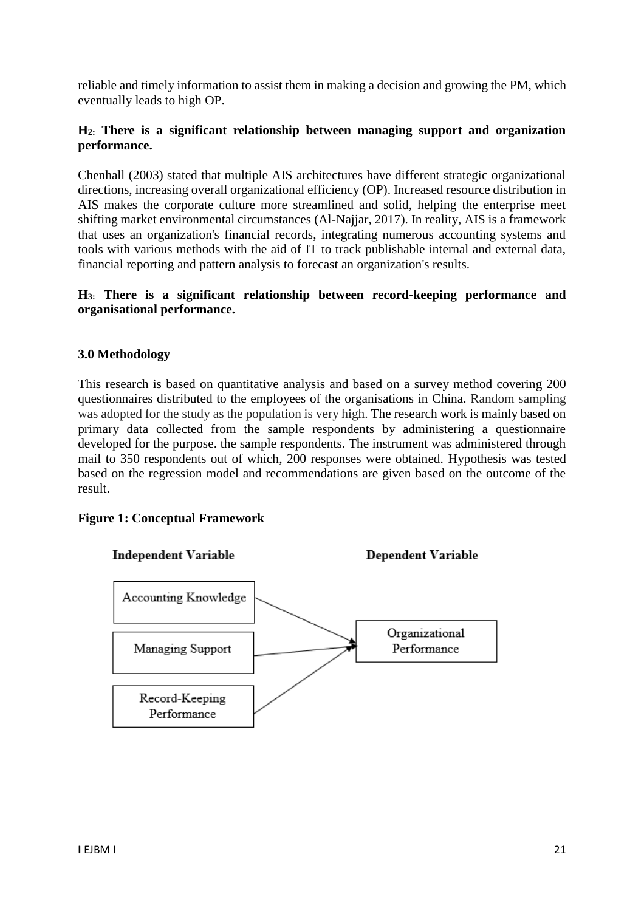reliable and timely information to assist them in making a decision and growing the PM, which eventually leads to high OP.

# **H2: There is a significant relationship between managing support and organization performance.**

Chenhall (2003) stated that multiple AIS architectures have different strategic organizational directions, increasing overall organizational efficiency (OP). Increased resource distribution in AIS makes the corporate culture more streamlined and solid, helping the enterprise meet shifting market environmental circumstances (Al-Najjar, 2017). In reality, AIS is a framework that uses an organization's financial records, integrating numerous accounting systems and tools with various methods with the aid of IT to track publishable internal and external data, financial reporting and pattern analysis to forecast an organization's results.

# **H3: There is a significant relationship between record-keeping performance and organisational performance.**

### **3.0 Methodology**

This research is based on quantitative analysis and based on a survey method covering 200 questionnaires distributed to the employees of the organisations in China. Random sampling was adopted for the study as the population is very high. The research work is mainly based on primary data collected from the sample respondents by administering a questionnaire developed for the purpose. the sample respondents. The instrument was administered through mail to 350 respondents out of which, 200 responses were obtained. Hypothesis was tested based on the regression model and recommendations are given based on the outcome of the result.

#### **Figure 1: Conceptual Framework**

#### **Independent Variable**

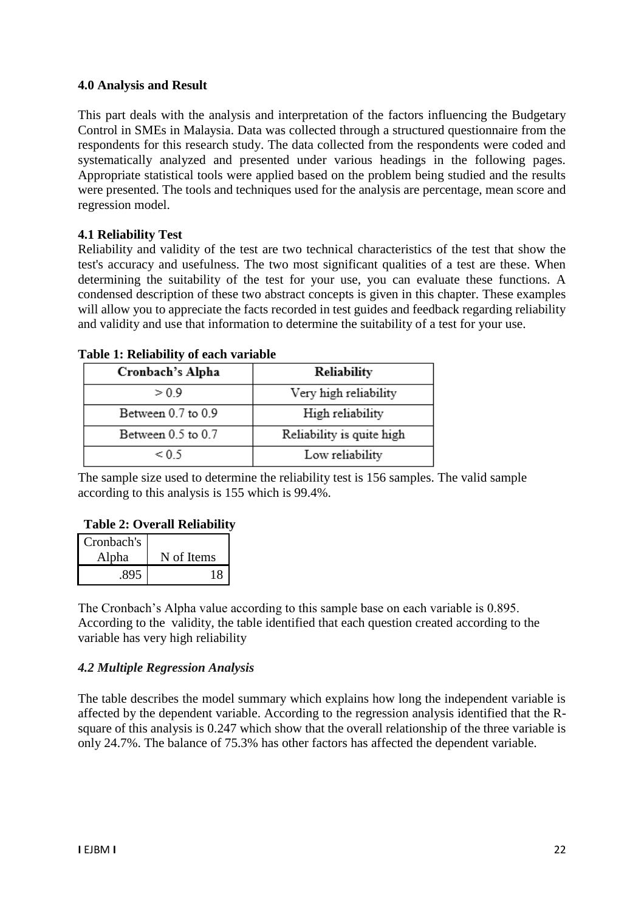### **4.0 Analysis and Result**

This part deals with the analysis and interpretation of the factors influencing the Budgetary Control in SMEs in Malaysia. Data was collected through a structured questionnaire from the respondents for this research study. The data collected from the respondents were coded and systematically analyzed and presented under various headings in the following pages. Appropriate statistical tools were applied based on the problem being studied and the results were presented. The tools and techniques used for the analysis are percentage, mean score and regression model.

# **4.1 Reliability Test**

Reliability and validity of the test are two technical characteristics of the test that show the test's accuracy and usefulness. The two most significant qualities of a test are these. When determining the suitability of the test for your use, you can evaluate these functions. A condensed description of these two abstract concepts is given in this chapter. These examples will allow you to appreciate the facts recorded in test guides and feedback regarding reliability and validity and use that information to determine the suitability of a test for your use.

| Cronbach's Alpha   | Reliability               |  |  |
|--------------------|---------------------------|--|--|
| > 0.9              | Very high reliability     |  |  |
| Between 0.7 to 0.9 | High reliability          |  |  |
| Between 0.5 to 0.7 | Reliability is quite high |  |  |
| < 0.5              | Low reliability           |  |  |

#### **Table 1: Reliability of each variable**

The sample size used to determine the reliability test is 156 samples. The valid sample according to this analysis is 155 which is 99.4%.

# **Table 2: Overall Reliability**

| Cronbach's |            |
|------------|------------|
| Alpha      | N of Items |
| .895       |            |

The Cronbach's Alpha value according to this sample base on each variable is 0.895. According to the validity, the table identified that each question created according to the variable has very high reliability

# *4.2 Multiple Regression Analysis*

The table describes the model summary which explains how long the independent variable is affected by the dependent variable. According to the regression analysis identified that the Rsquare of this analysis is 0.247 which show that the overall relationship of the three variable is only 24.7%. The balance of 75.3% has other factors has affected the dependent variable.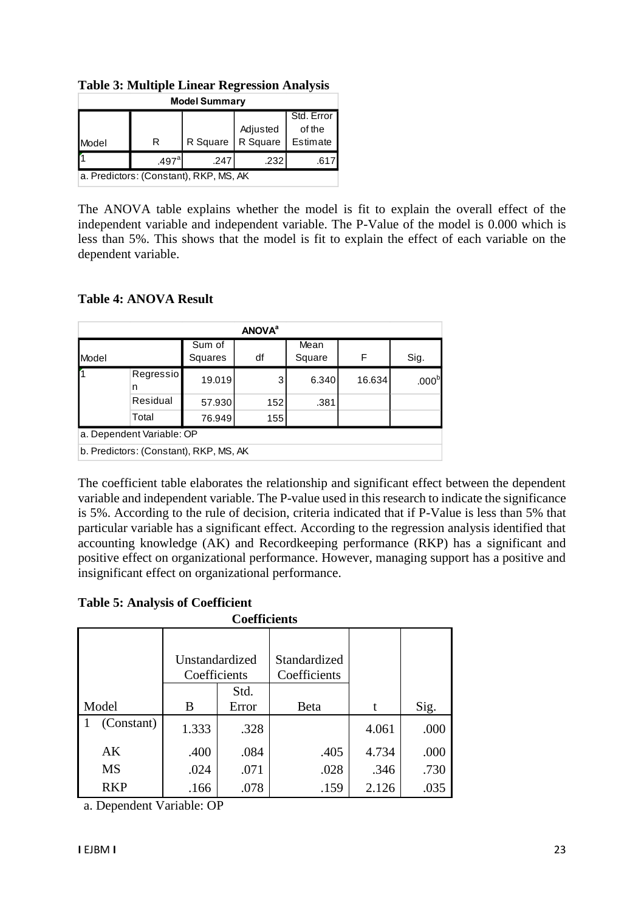| <b>Model Summary</b>                   |                   |          |                      |                                  |  |
|----------------------------------------|-------------------|----------|----------------------|----------------------------------|--|
| Model                                  | R                 | R Square | Adjusted<br>R Square | Std. Error<br>of the<br>Estimate |  |
|                                        | .497 <sup>a</sup> | .247     | .232                 | .611                             |  |
| a. Predictors: (Constant), RKP, MS, AK |                   |          |                      |                                  |  |

**Table 3: Multiple Linear Regression Analysis**

The ANOVA table explains whether the model is fit to explain the overall effect of the independent variable and independent variable. The P-Value of the model is 0.000 which is less than 5%. This shows that the model is fit to explain the effect of each variable on the dependent variable.

# **Table 4: ANOVA Result**

| <b>ANOVA</b> <sup>a</sup> |                                        |                   |     |                |        |                   |
|---------------------------|----------------------------------------|-------------------|-----|----------------|--------|-------------------|
| <b>Model</b>              |                                        | Sum of<br>Squares | df  | Mean<br>Square | F      | Sig.              |
|                           | Regressio<br>n                         | 19.019            | 3   | 6.340          | 16.634 | .000 <sup>b</sup> |
|                           | Residual                               | 57.930            | 152 | .381           |        |                   |
|                           | Total                                  | 76.949            | 155 |                |        |                   |
|                           | a. Dependent Variable: OP              |                   |     |                |        |                   |
|                           | b. Predictors: (Constant), RKP, MS, AK |                   |     |                |        |                   |

The coefficient table elaborates the relationship and significant effect between the dependent variable and independent variable. The P-value used in this research to indicate the significance is 5%. According to the rule of decision, criteria indicated that if P-Value is less than 5% that particular variable has a significant effect. According to the regression analysis identified that accounting knowledge (AK) and Recordkeeping performance (RKP) has a significant and positive effect on organizational performance. However, managing support has a positive and insignificant effect on organizational performance.

# **Table 5: Analysis of Coefficient**

| <b>Coefficients</b> |                                |               |                              |       |      |
|---------------------|--------------------------------|---------------|------------------------------|-------|------|
|                     | Unstandardized<br>Coefficients |               | Standardized<br>Coefficients |       |      |
| Model               | B                              | Std.<br>Error | Beta                         | t     | Sig. |
| (Constant)          | 1.333                          | .328          |                              | 4.061 | .000 |
| AK                  | .400                           | .084          | .405                         | 4.734 | .000 |
| <b>MS</b>           | .024                           | .071          | .028                         | .346  | .730 |
| <b>RKP</b>          | .166                           | .078          | .159                         | 2.126 | .035 |

a. Dependent Variable: OP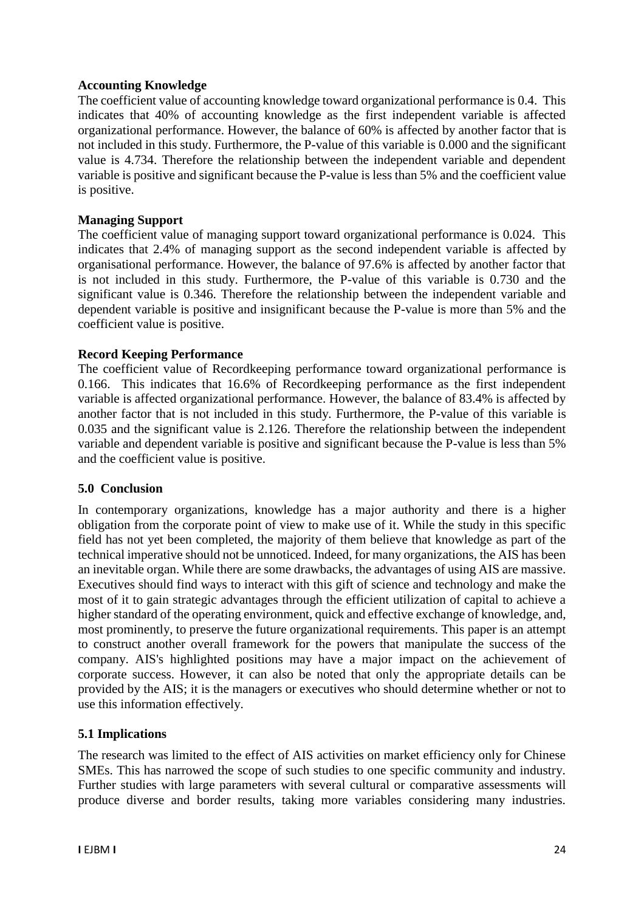### **Accounting Knowledge**

The coefficient value of accounting knowledge toward organizational performance is 0.4. This indicates that 40% of accounting knowledge as the first independent variable is affected organizational performance. However, the balance of 60% is affected by another factor that is not included in this study. Furthermore, the P-value of this variable is 0.000 and the significant value is 4.734. Therefore the relationship between the independent variable and dependent variable is positive and significant because the P-value is less than 5% and the coefficient value is positive.

### **Managing Support**

The coefficient value of managing support toward organizational performance is 0.024. This indicates that 2.4% of managing support as the second independent variable is affected by organisational performance. However, the balance of 97.6% is affected by another factor that is not included in this study. Furthermore, the P-value of this variable is 0.730 and the significant value is 0.346. Therefore the relationship between the independent variable and dependent variable is positive and insignificant because the P-value is more than 5% and the coefficient value is positive.

### **Record Keeping Performance**

The coefficient value of Recordkeeping performance toward organizational performance is 0.166. This indicates that 16.6% of Recordkeeping performance as the first independent variable is affected organizational performance. However, the balance of 83.4% is affected by another factor that is not included in this study. Furthermore, the P-value of this variable is 0.035 and the significant value is 2.126. Therefore the relationship between the independent variable and dependent variable is positive and significant because the P-value is less than 5% and the coefficient value is positive.

#### **5.0 Conclusion**

In contemporary organizations, knowledge has a major authority and there is a higher obligation from the corporate point of view to make use of it. While the study in this specific field has not yet been completed, the majority of them believe that knowledge as part of the technical imperative should not be unnoticed. Indeed, for many organizations, the AIS has been an inevitable organ. While there are some drawbacks, the advantages of using AIS are massive. Executives should find ways to interact with this gift of science and technology and make the most of it to gain strategic advantages through the efficient utilization of capital to achieve a higher standard of the operating environment, quick and effective exchange of knowledge, and, most prominently, to preserve the future organizational requirements. This paper is an attempt to construct another overall framework for the powers that manipulate the success of the company. AIS's highlighted positions may have a major impact on the achievement of corporate success. However, it can also be noted that only the appropriate details can be provided by the AIS; it is the managers or executives who should determine whether or not to use this information effectively.

# **5.1 Implications**

The research was limited to the effect of AIS activities on market efficiency only for Chinese SMEs. This has narrowed the scope of such studies to one specific community and industry. Further studies with large parameters with several cultural or comparative assessments will produce diverse and border results, taking more variables considering many industries.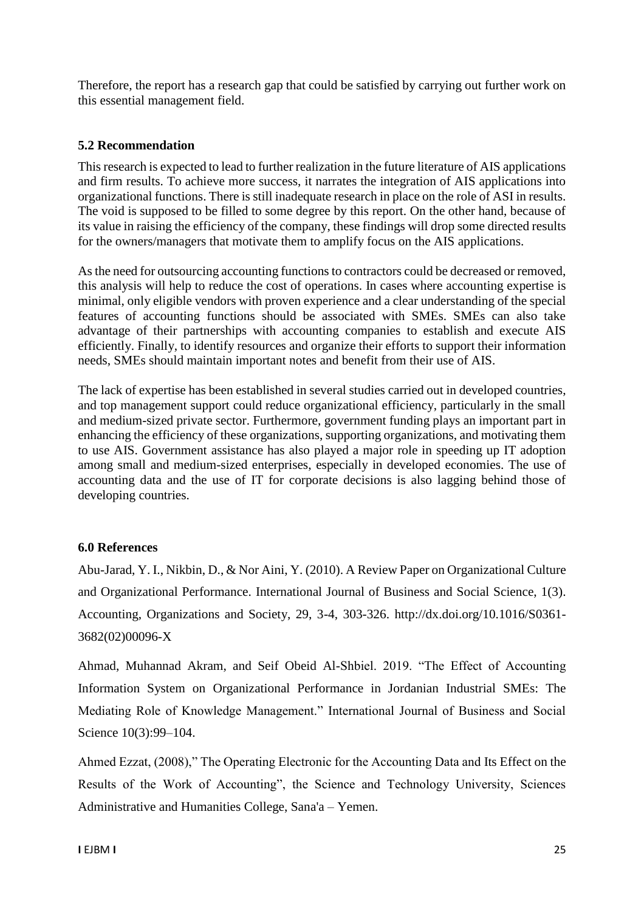Therefore, the report has a research gap that could be satisfied by carrying out further work on this essential management field.

### **5.2 Recommendation**

This research is expected to lead to further realization in the future literature of AIS applications and firm results. To achieve more success, it narrates the integration of AIS applications into organizational functions. There is still inadequate research in place on the role of ASI in results. The void is supposed to be filled to some degree by this report. On the other hand, because of its value in raising the efficiency of the company, these findings will drop some directed results for the owners/managers that motivate them to amplify focus on the AIS applications.

As the need for outsourcing accounting functions to contractors could be decreased or removed, this analysis will help to reduce the cost of operations. In cases where accounting expertise is minimal, only eligible vendors with proven experience and a clear understanding of the special features of accounting functions should be associated with SMEs. SMEs can also take advantage of their partnerships with accounting companies to establish and execute AIS efficiently. Finally, to identify resources and organize their efforts to support their information needs, SMEs should maintain important notes and benefit from their use of AIS.

The lack of expertise has been established in several studies carried out in developed countries, and top management support could reduce organizational efficiency, particularly in the small and medium-sized private sector. Furthermore, government funding plays an important part in enhancing the efficiency of these organizations, supporting organizations, and motivating them to use AIS. Government assistance has also played a major role in speeding up IT adoption among small and medium-sized enterprises, especially in developed economies. The use of accounting data and the use of IT for corporate decisions is also lagging behind those of developing countries.

#### **6.0 References**

Abu-Jarad, Y. I., Nikbin, D., & Nor Aini, Y. (2010). A Review Paper on Organizational Culture and Organizational Performance. International Journal of Business and Social Science, 1(3). Accounting, Organizations and Society, 29, 3-4, 303-326. http://dx.doi.org/10.1016/S0361- 3682(02)00096-X

Ahmad, Muhannad Akram, and Seif Obeid Al-Shbiel. 2019. "The Effect of Accounting Information System on Organizational Performance in Jordanian Industrial SMEs: The Mediating Role of Knowledge Management." International Journal of Business and Social Science 10(3):99–104.

Ahmed Ezzat, (2008)," The Operating Electronic for the Accounting Data and Its Effect on the Results of the Work of Accounting", the Science and Technology University, Sciences Administrative and Humanities College, Sana'a – Yemen.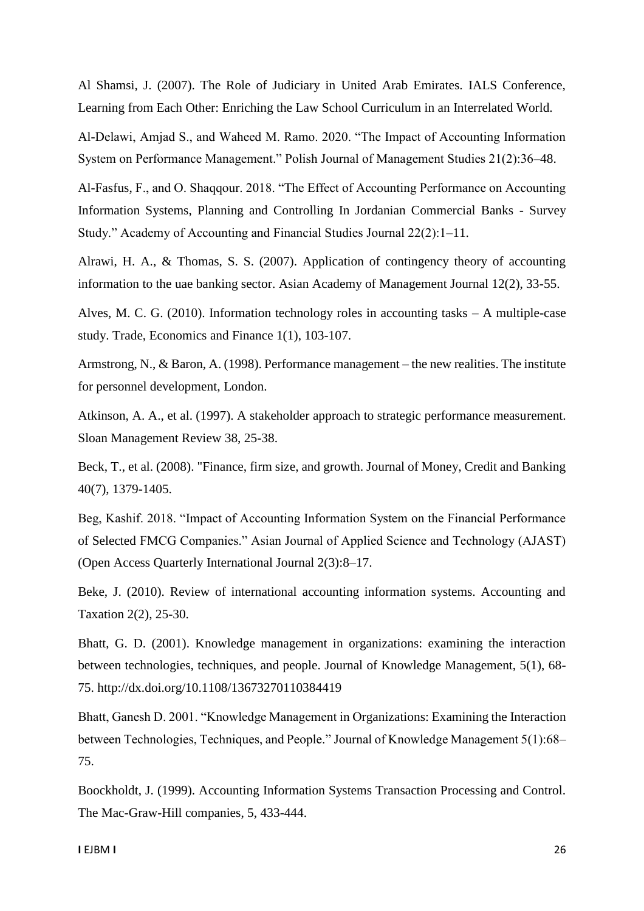Al Shamsi, J. (2007). The Role of Judiciary in United Arab Emirates. IALS Conference, Learning from Each Other: Enriching the Law School Curriculum in an Interrelated World.

Al-Delawi, Amjad S., and Waheed M. Ramo. 2020. "The Impact of Accounting Information System on Performance Management." Polish Journal of Management Studies 21(2):36–48.

Al-Fasfus, F., and O. Shaqqour. 2018. "The Effect of Accounting Performance on Accounting Information Systems, Planning and Controlling In Jordanian Commercial Banks - Survey Study." Academy of Accounting and Financial Studies Journal 22(2):1–11.

Alrawi, H. A., & Thomas, S. S. (2007). Application of contingency theory of accounting information to the uae banking sector. Asian Academy of Management Journal 12(2), 33-55.

Alves, M. C. G. (2010). Information technology roles in accounting tasks – A multiple-case study. Trade, Economics and Finance 1(1), 103-107.

Armstrong, N., & Baron, A. (1998). Performance management – the new realities. The institute for personnel development, London.

Atkinson, A. A., et al. (1997). A stakeholder approach to strategic performance measurement. Sloan Management Review 38, 25-38.

Beck, T., et al. (2008). "Finance, firm size, and growth. Journal of Money, Credit and Banking 40(7), 1379-1405.

Beg, Kashif. 2018. "Impact of Accounting Information System on the Financial Performance of Selected FMCG Companies." Asian Journal of Applied Science and Technology (AJAST) (Open Access Quarterly International Journal 2(3):8–17.

Beke, J. (2010). Review of international accounting information systems. Accounting and Taxation 2(2), 25-30.

Bhatt, G. D. (2001). Knowledge management in organizations: examining the interaction between technologies, techniques, and people. Journal of Knowledge Management, 5(1), 68- 75. http://dx.doi.org/10.1108/13673270110384419

Bhatt, Ganesh D. 2001. "Knowledge Management in Organizations: Examining the Interaction between Technologies, Techniques, and People." Journal of Knowledge Management 5(1):68– 75.

Boockholdt, J. (1999). Accounting Information Systems Transaction Processing and Control. The Mac-Graw-Hill companies, 5, 433-444.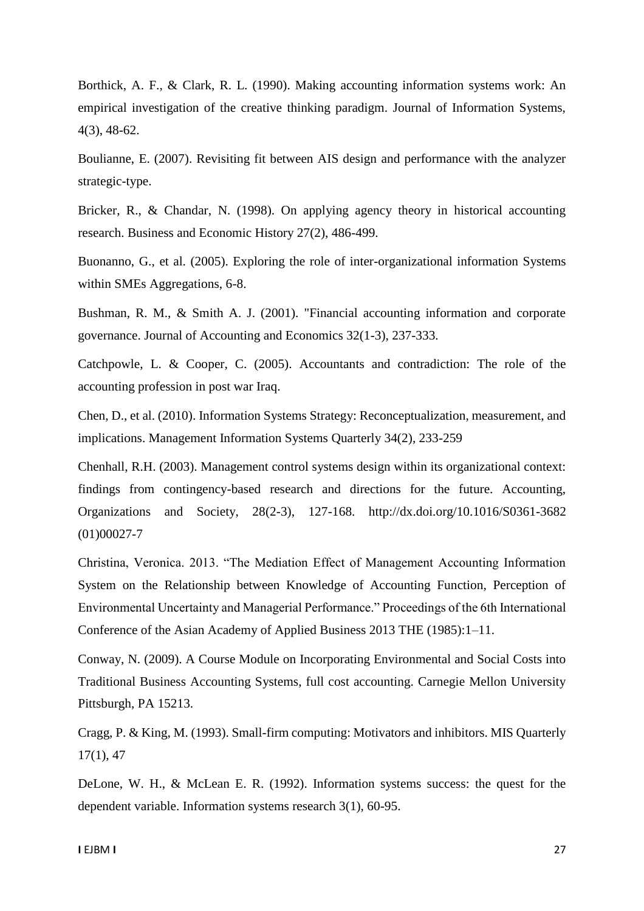Borthick, A. F., & Clark, R. L. (1990). Making accounting information systems work: An empirical investigation of the creative thinking paradigm. Journal of Information Systems, 4(3), 48-62.

Boulianne, E. (2007). Revisiting fit between AIS design and performance with the analyzer strategic-type.

Bricker, R., & Chandar, N. (1998). On applying agency theory in historical accounting research. Business and Economic History 27(2), 486-499.

Buonanno, G., et al. (2005). Exploring the role of inter-organizational information Systems within SMEs Aggregations, 6-8.

Bushman, R. M., & Smith A. J. (2001). "Financial accounting information and corporate governance. Journal of Accounting and Economics 32(1-3), 237-333.

Catchpowle, L. & Cooper, C. (2005). Accountants and contradiction: The role of the accounting profession in post war Iraq.

Chen, D., et al. (2010). Information Systems Strategy: Reconceptualization, measurement, and implications. Management Information Systems Quarterly 34(2), 233-259

Chenhall, R.H. (2003). Management control systems design within its organizational context: findings from contingency-based research and directions for the future. Accounting, Organizations and Society, 28(2-3), 127-168. http://dx.doi.org/10.1016/S0361-3682 (01)00027-7

Christina, Veronica. 2013. "The Mediation Effect of Management Accounting Information System on the Relationship between Knowledge of Accounting Function, Perception of Environmental Uncertainty and Managerial Performance." Proceedings of the 6th International Conference of the Asian Academy of Applied Business 2013 THE (1985):1–11.

Conway, N. (2009). A Course Module on Incorporating Environmental and Social Costs into Traditional Business Accounting Systems, full cost accounting. Carnegie Mellon University Pittsburgh, PA 15213.

Cragg, P. & King, M. (1993). Small-firm computing: Motivators and inhibitors. MIS Quarterly 17(1), 47

DeLone, W. H., & McLean E. R. (1992). Information systems success: the quest for the dependent variable. Information systems research 3(1), 60-95.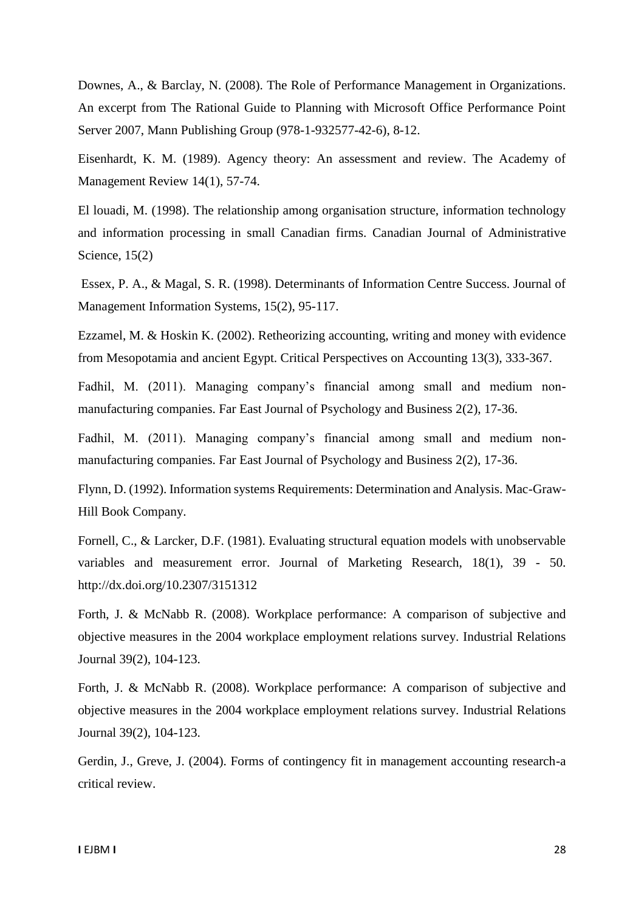Downes, A., & Barclay, N. (2008). The Role of Performance Management in Organizations. An excerpt from The Rational Guide to Planning with Microsoft Office Performance Point Server 2007, Mann Publishing Group (978-1-932577-42-6), 8-12.

Eisenhardt, K. M. (1989). Agency theory: An assessment and review. The Academy of Management Review 14(1), 57-74.

El louadi, M. (1998). The relationship among organisation structure, information technology and information processing in small Canadian firms. Canadian Journal of Administrative Science, 15(2)

Essex, P. A., & Magal, S. R. (1998). Determinants of Information Centre Success. Journal of Management Information Systems, 15(2), 95-117.

Ezzamel, M. & Hoskin K. (2002). Retheorizing accounting, writing and money with evidence from Mesopotamia and ancient Egypt. Critical Perspectives on Accounting 13(3), 333-367.

Fadhil, M. (2011). Managing company's financial among small and medium nonmanufacturing companies. Far East Journal of Psychology and Business 2(2), 17-36.

Fadhil, M. (2011). Managing company's financial among small and medium nonmanufacturing companies. Far East Journal of Psychology and Business 2(2), 17-36.

Flynn, D. (1992). Information systems Requirements: Determination and Analysis. Mac-Graw-Hill Book Company.

Fornell, C., & Larcker, D.F. (1981). Evaluating structural equation models with unobservable variables and measurement error. Journal of Marketing Research, 18(1), 39 - 50. http://dx.doi.org/10.2307/3151312

Forth, J. & McNabb R. (2008). Workplace performance: A comparison of subjective and objective measures in the 2004 workplace employment relations survey. Industrial Relations Journal 39(2), 104-123.

Forth, J. & McNabb R. (2008). Workplace performance: A comparison of subjective and objective measures in the 2004 workplace employment relations survey. Industrial Relations Journal 39(2), 104-123.

Gerdin, J., Greve, J. (2004). Forms of contingency fit in management accounting research-a critical review.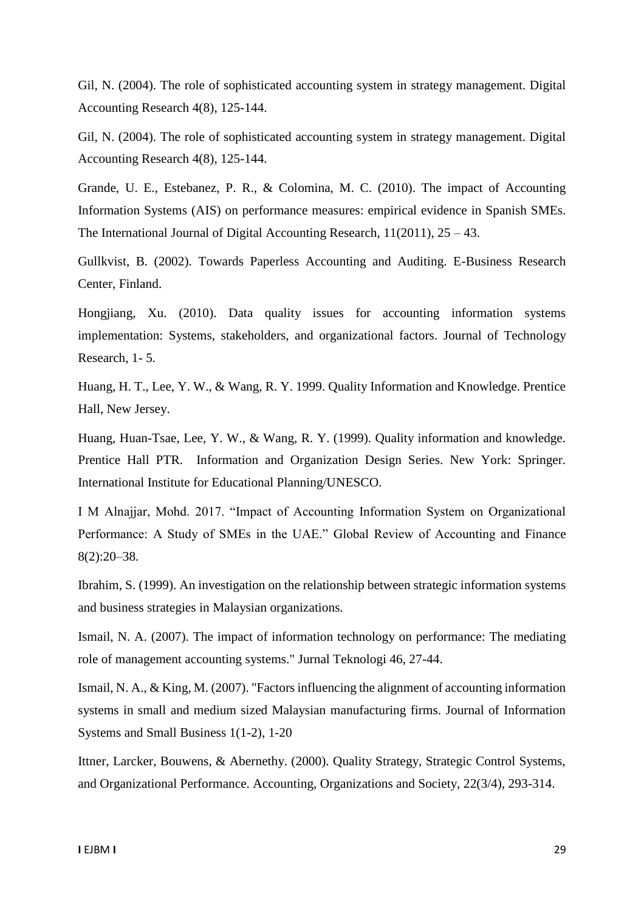Gil, N. (2004). The role of sophisticated accounting system in strategy management. Digital Accounting Research 4(8), 125-144.

Gil, N. (2004). The role of sophisticated accounting system in strategy management. Digital Accounting Research 4(8), 125-144.

Grande, U. E., Estebanez, P. R., & Colomina, M. C. (2010). The impact of Accounting Information Systems (AIS) on performance measures: empirical evidence in Spanish SMEs. The International Journal of Digital Accounting Research, 11(2011), 25 – 43.

Gullkvist, B. (2002). Towards Paperless Accounting and Auditing. E-Business Research Center, Finland.

Hongjiang, Xu. (2010). Data quality issues for accounting information systems implementation: Systems, stakeholders, and organizational factors. Journal of Technology Research, 1- 5.

Huang, H. T., Lee, Y. W., & Wang, R. Y. 1999. Quality Information and Knowledge. Prentice Hall, New Jersey.

Huang, Huan-Tsae, Lee, Y. W., & Wang, R. Y. (1999). Quality information and knowledge. Prentice Hall PTR. Information and Organization Design Series. New York: Springer. International Institute for Educational Planning/UNESCO.

I M Alnajjar, Mohd. 2017. "Impact of Accounting Information System on Organizational Performance: A Study of SMEs in the UAE." Global Review of Accounting and Finance 8(2):20–38.

Ibrahim, S. (1999). An investigation on the relationship between strategic information systems and business strategies in Malaysian organizations.

Ismail, N. A. (2007). The impact of information technology on performance: The mediating role of management accounting systems." Jurnal Teknologi 46, 27-44.

Ismail, N. A., & King, M. (2007). "Factors influencing the alignment of accounting information systems in small and medium sized Malaysian manufacturing firms. Journal of Information Systems and Small Business 1(1-2), 1-20

Ittner, Larcker, Bouwens, & Abernethy. (2000). Quality Strategy, Strategic Control Systems, and Organizational Performance. Accounting, Organizations and Society, 22(3/4), 293-314.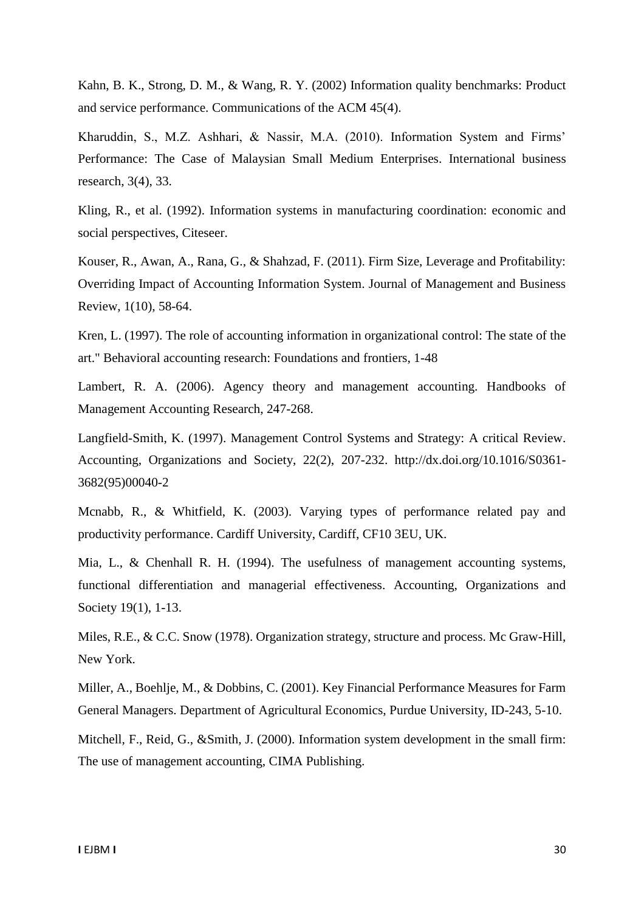Kahn, B. K., Strong, D. M., & Wang, R. Y. (2002) Information quality benchmarks: Product and service performance. Communications of the ACM 45(4).

Kharuddin, S., M.Z. Ashhari, & Nassir, M.A. (2010). Information System and Firms' Performance: The Case of Malaysian Small Medium Enterprises. International business research, 3(4), 33.

Kling, R., et al. (1992). Information systems in manufacturing coordination: economic and social perspectives, Citeseer.

Kouser, R., Awan, A., Rana, G., & Shahzad, F. (2011). Firm Size, Leverage and Profitability: Overriding Impact of Accounting Information System. Journal of Management and Business Review, 1(10), 58-64.

Kren, L. (1997). The role of accounting information in organizational control: The state of the art." Behavioral accounting research: Foundations and frontiers, 1-48

Lambert, R. A. (2006). Agency theory and management accounting. Handbooks of Management Accounting Research, 247-268.

Langfield-Smith, K. (1997). Management Control Systems and Strategy: A critical Review. Accounting, Organizations and Society, 22(2), 207-232. http://dx.doi.org/10.1016/S0361- 3682(95)00040-2

Mcnabb, R., & Whitfield, K. (2003). Varying types of performance related pay and productivity performance. Cardiff University, Cardiff, CF10 3EU, UK.

Mia, L., & Chenhall R. H. (1994). The usefulness of management accounting systems, functional differentiation and managerial effectiveness. Accounting, Organizations and Society 19(1), 1-13.

Miles, R.E., & C.C. Snow (1978). Organization strategy, structure and process. Mc Graw-Hill, New York.

Miller, A., Boehlje, M., & Dobbins, C. (2001). Key Financial Performance Measures for Farm General Managers. Department of Agricultural Economics, Purdue University, ID-243, 5-10.

Mitchell, F., Reid, G., &Smith, J. (2000). Information system development in the small firm: The use of management accounting, CIMA Publishing.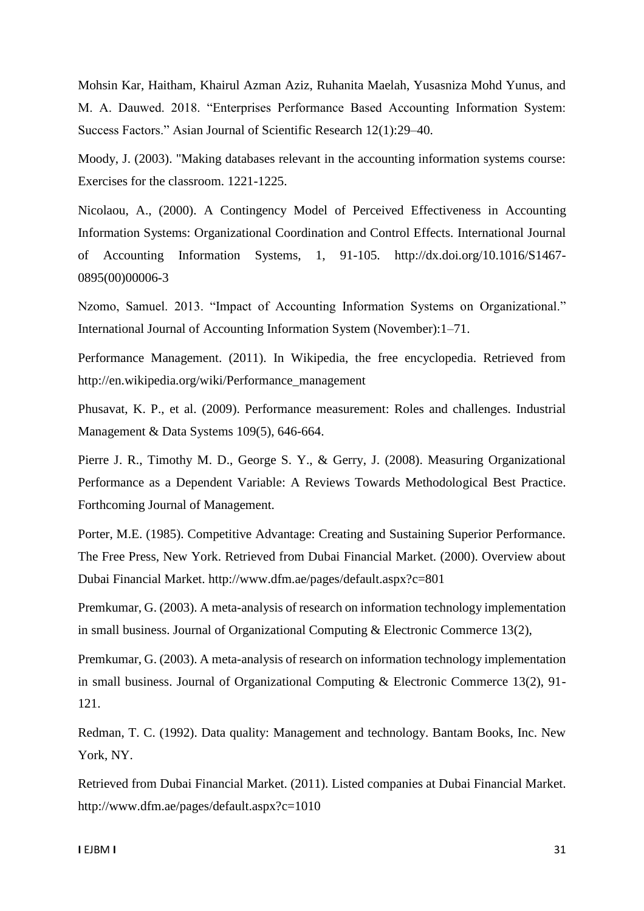Mohsin Kar, Haitham, Khairul Azman Aziz, Ruhanita Maelah, Yusasniza Mohd Yunus, and M. A. Dauwed. 2018. "Enterprises Performance Based Accounting Information System: Success Factors." Asian Journal of Scientific Research 12(1):29–40.

Moody, J. (2003). "Making databases relevant in the accounting information systems course: Exercises for the classroom. 1221-1225.

Nicolaou, A., (2000). A Contingency Model of Perceived Effectiveness in Accounting Information Systems: Organizational Coordination and Control Effects. International Journal of Accounting Information Systems, 1, 91-105. http://dx.doi.org/10.1016/S1467- 0895(00)00006-3

Nzomo, Samuel. 2013. "Impact of Accounting Information Systems on Organizational." International Journal of Accounting Information System (November):1–71.

Performance Management. (2011). In Wikipedia, the free encyclopedia. Retrieved from http://en.wikipedia.org/wiki/Performance\_management

Phusavat, K. P., et al. (2009). Performance measurement: Roles and challenges. Industrial Management & Data Systems 109(5), 646-664.

Pierre J. R., Timothy M. D., George S. Y., & Gerry, J. (2008). Measuring Organizational Performance as a Dependent Variable: A Reviews Towards Methodological Best Practice. Forthcoming Journal of Management.

Porter, M.E. (1985). Competitive Advantage: Creating and Sustaining Superior Performance. The Free Press, New York. Retrieved from Dubai Financial Market. (2000). Overview about Dubai Financial Market. http://www.dfm.ae/pages/default.aspx?c=801

Premkumar, G. (2003). A meta-analysis of research on information technology implementation in small business. Journal of Organizational Computing & Electronic Commerce 13(2),

Premkumar, G. (2003). A meta-analysis of research on information technology implementation in small business. Journal of Organizational Computing & Electronic Commerce 13(2), 91- 121.

Redman, T. C. (1992). Data quality: Management and technology. Bantam Books, Inc. New York, NY.

Retrieved from Dubai Financial Market. (2011). Listed companies at Dubai Financial Market. http://www.dfm.ae/pages/default.aspx?c=1010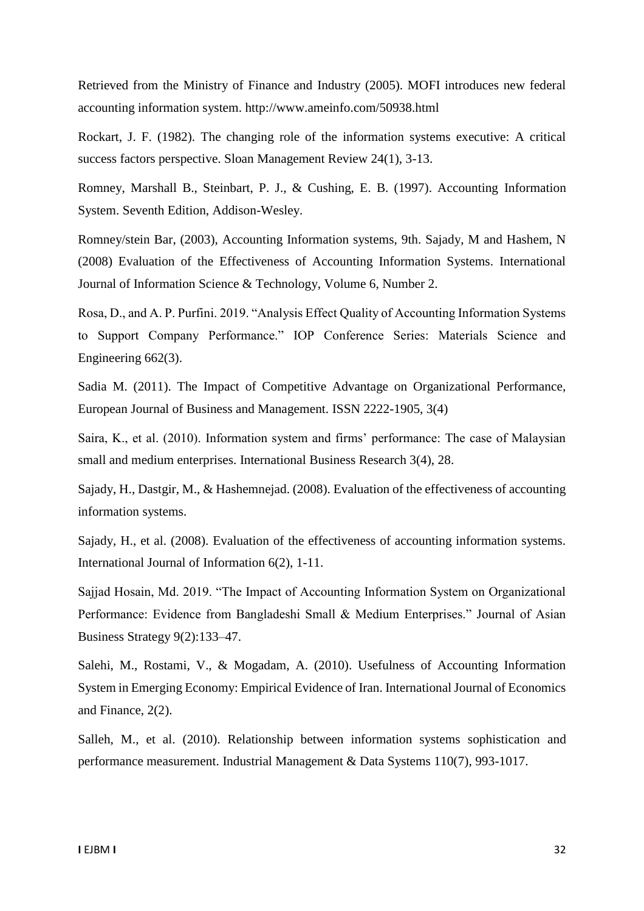Retrieved from the Ministry of Finance and Industry (2005). MOFI introduces new federal accounting information system. http://www.ameinfo.com/50938.html

Rockart, J. F. (1982). The changing role of the information systems executive: A critical success factors perspective. Sloan Management Review 24(1), 3-13.

Romney, Marshall B., Steinbart, P. J., & Cushing, E. B. (1997). Accounting Information System. Seventh Edition, Addison-Wesley.

Romney/stein Bar, (2003), Accounting Information systems, 9th. Sajady, M and Hashem, N (2008) Evaluation of the Effectiveness of Accounting Information Systems. International Journal of Information Science & Technology, Volume 6, Number 2.

Rosa, D., and A. P. Purfini. 2019. "Analysis Effect Quality of Accounting Information Systems to Support Company Performance." IOP Conference Series: Materials Science and Engineering 662(3).

Sadia M. (2011). The Impact of Competitive Advantage on Organizational Performance, European Journal of Business and Management. ISSN 2222-1905, 3(4)

Saira, K., et al. (2010). Information system and firms' performance: The case of Malaysian small and medium enterprises. International Business Research 3(4), 28.

Sajady, H., Dastgir, M., & Hashemnejad. (2008). Evaluation of the effectiveness of accounting information systems.

Sajady, H., et al. (2008). Evaluation of the effectiveness of accounting information systems. International Journal of Information 6(2), 1-11.

Sajjad Hosain, Md. 2019. "The Impact of Accounting Information System on Organizational Performance: Evidence from Bangladeshi Small & Medium Enterprises." Journal of Asian Business Strategy 9(2):133–47.

Salehi, M., Rostami, V., & Mogadam, A. (2010). Usefulness of Accounting Information System in Emerging Economy: Empirical Evidence of Iran. International Journal of Economics and Finance, 2(2).

Salleh, M., et al. (2010). Relationship between information systems sophistication and performance measurement. Industrial Management & Data Systems 110(7), 993-1017.